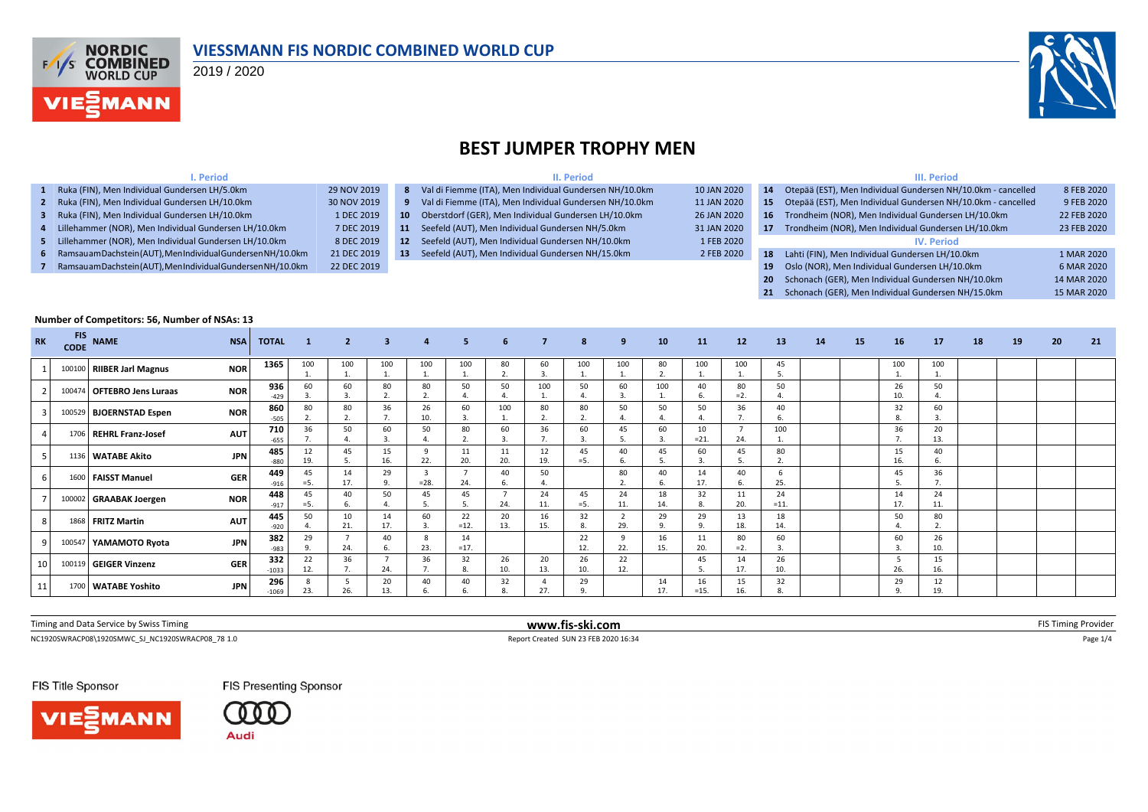

#### **VIESSMANN FIS NORDIC COMBINED WORLD CUP**

2019 / 2020



## **BEST JUMPER TROPHY MEN**

| . Period                                                     |             |                 | II. Period                                                |             |                 | III. Period                                                     |             |  |  |  |  |  |
|--------------------------------------------------------------|-------------|-----------------|-----------------------------------------------------------|-------------|-----------------|-----------------------------------------------------------------|-------------|--|--|--|--|--|
| Ruka (FIN), Men Individual Gundersen LH/5.0km                | 29 NOV 2019 |                 | 8 Val di Fiemme (ITA), Men Individual Gundersen NH/10.0km | 10 JAN 2020 | 14              | Otepää (EST), Men Individual Gundersen NH/10.0km - cancelled    | 8 FEB 2020  |  |  |  |  |  |
| Ruka (FIN), Men Individual Gundersen LH/10.0km               | 30 NOV 2019 |                 | 9 Val di Fiemme (ITA), Men Individual Gundersen NH/10.0km | 11 JAN 2020 |                 | 15 Otepää (EST), Men Individual Gundersen NH/10.0km - cancelled | 9 FEB 2020  |  |  |  |  |  |
| Ruka (FIN), Men Individual Gundersen LH/10.0km               | 1 DEC 2019  | $10-10$         | Oberstdorf (GER), Men Individual Gundersen LH/10.0km      | 26 JAN 2020 | 16 <sup>1</sup> | Trondheim (NOR), Men Individual Gundersen LH/10.0km             | 22 FEB 2020 |  |  |  |  |  |
| Lillehammer (NOR), Men Individual Gundersen LH/10.0km        | 7 DEC 2019  | 11              | Seefeld (AUT), Men Individual Gundersen NH/5.0km          | 31 JAN 2020 |                 | Trondheim (NOR), Men Individual Gundersen LH/10.0km             | 23 FEB 2020 |  |  |  |  |  |
| Lillehammer (NOR), Men Individual Gundersen LH/10.0km        | 8 DEC 2019  | 12 <sup>7</sup> | Seefeld (AUT), Men Individual Gundersen NH/10.0km         | 1 FEB 2020  |                 | <b>IV. Period</b>                                               |             |  |  |  |  |  |
| Ramsauam Dachstein (AUT), Men Individual Gundersen NH/10.0km | 21 DEC 2019 | 13              | Seefeld (AUT), Men Individual Gundersen NH/15.0km         | 2 FEB 2020  |                 | 18 Lahti (FIN), Men Individual Gundersen LH/10.0km              | 1 MAR 2020  |  |  |  |  |  |
| Ramsauam Dachstein (AUT), Men Individual Gundersen NH/10.0km | 22 DEC 2019 |                 |                                                           |             | 19              | Oslo (NOR), Men Individual Gundersen LH/10.0km                  | 6 MAR 2020  |  |  |  |  |  |
|                                                              |             |                 |                                                           |             |                 | 20 Schonach (GER), Men Individual Gundersen NH/10.0km           | 14 MAR 2020 |  |  |  |  |  |

**21** Schonach (GER), Men Individual Gundersen NH/15.0km 15 MAR 2020

#### **Number of Competitors: 56, Number of NSAs: 13**

| <b>RK</b> | <b>FIS</b><br><b>CODE</b> | <b>NAME</b>                | <b>NSA</b> | <b>TOTAL</b>   | $\blacksquare$ 1 | $\overline{2}$ | 3 <sup>1</sup>       | $\overline{4}$ | 5.           | 6                                    | $\overline{7}$       | 8             | 9         | 10                 | 11            | 12           | 13           | 14 | 15 | 16        | 17                            | 18 | <b>19</b> | 20 | 21 |
|-----------|---------------------------|----------------------------|------------|----------------|------------------|----------------|----------------------|----------------|--------------|--------------------------------------|----------------------|---------------|-----------|--------------------|---------------|--------------|--------------|----|----|-----------|-------------------------------|----|-----------|----|----|
|           |                           | 100100 RIIBER Jarl Magnus  | <b>NOR</b> | 1365           | 100              | 100            | 100                  | 100            | 100          | 80<br>$\overline{\phantom{a}}$<br>z. | 60<br>$\overline{3}$ | 100           | 100       | 80<br>$\mathbf{r}$ | 100           | 100          | 45           |    |    | 100       | 100                           |    |           |    |    |
|           |                           | 100474 OFTEBRO Jens Luraas | <b>NOR</b> | 936<br>$-429$  | 60               | 60             | 80<br>$\overline{ }$ | 80             | 50           | 50                                   | 100                  | 50            | 60        | 100                | 40            | 80<br>$=2$ . | 50           |    |    | 26<br>10. | 50<br>4.                      |    |           |    |    |
|           |                           | 100529 BJOERNSTAD Espen    | <b>NOR</b> | 860<br>$-505$  | 80               | 80             | 36<br>7.             | 26<br>10.      | 60           | 100                                  | 80<br>$\mathbf{a}$   | 80            | 50        | 50                 | 50            | 36           | 40           |    |    | 32        | 60<br>$\overline{\mathbf{3}}$ |    |           |    |    |
|           |                           | 1706 REHRL Franz-Josef     | <b>AUT</b> | 710<br>$-655$  | 36               | 50             | 60<br>3.             | 50             | 80           | 60                                   | 36                   | 60            | 45        | 60                 | 10<br>$= 21.$ | 24.          | 100          |    |    | 36        | 20<br>13.                     |    |           |    |    |
|           |                           | 1136 WATABE Akito          | <b>JPN</b> | 485<br>$-880$  | 12<br>19.        | 45             | 15<br>16.            | 22.            | 11<br>20.    | 11<br>20.                            | 12<br>19.            | 45<br>$= 5.$  | 40        | 45                 | 60            | 45           | 80           |    |    | 15<br>16. | 40<br>-6.                     |    |           |    |    |
|           |                           | 1600 FAISST Manuel         | <b>GER</b> | 449<br>$-916$  | 45<br>$= 5.$     | 14<br>17.      | 29<br>9.             | $=28.$         | 24.          | 40                                   | 50<br>4              |               | 80        | 40                 | 14<br>17.     | 40           | 25.          |    |    | 45        | 36                            |    |           |    |    |
|           |                           | 100002 GRAABAK Joergen     | <b>NOR</b> | 448<br>$-917$  | 45<br>=5.        | 40             | 50<br>$\mathbf{A}$   | 45             | 45           | 24.                                  | 24<br>11.            | 45<br>$= 5.$  | 24<br>11. | 18<br>14.          | 32            | 11<br>20.    | 24<br>$=11.$ |    |    | 14<br>17. | 24<br>11.                     |    |           |    |    |
|           |                           | 1868 FRITZ Martin          | <b>AUT</b> | 445<br>$-920$  | 50               | 10<br>21.      | 14<br>17.            | 60             | 22<br>$=12.$ | 20<br>13.                            | 16<br>15.            | 32<br>8.      | 29.       | 29<br>$\Omega$     | 29            | 13<br>18.    | 18<br>14.    |    |    | 50        | 80<br>$\mathcal{L}$           |    |           |    |    |
|           |                           | 100547 YAMAMOTO Ryota      | <b>JPN</b> | 382<br>$-983$  | 29               | 24.            | 40<br>6.             | 23.            | 14<br>$=17.$ |                                      |                      | 22<br>12.     | 22.       | 16<br>15.          | 11<br>20.     | 80<br>$= 2.$ | 60           |    |    | 60        | 26<br>10.                     |    |           |    |    |
| 10        |                           | 100119 GEIGER Vinzenz      | <b>GER</b> | 332<br>$-1033$ | 22<br>12.        | 36             | 24.                  | 36             | 32           | 26<br>10.                            | 20<br>13.            | 26<br>10.     | 22<br>12. |                    | 45            | 14<br>17.    | 26<br>10.    |    |    | 26.       | 15<br>16.                     |    |           |    |    |
| 11        |                           | 1700 WATABE Yoshito        | <b>JPN</b> | 296<br>$-1069$ | 23.              | 26.            | 20<br>13.            | 40             | 40           | 32                                   | 27.                  | 29<br>$\circ$ |           | 14<br>17.          | 16<br>$=15.$  | 15<br>16.    | 32           |    |    | 29        | 12<br>19.                     |    |           |    |    |

| Timing and<br>by Swiss Timing<br>. Con<br>: 1 V I L | -ski.com<br>WWW.fis-Sh |  |
|-----------------------------------------------------|------------------------|--|
|                                                     |                        |  |

NC1920SWRACP08\1920SMWC\_SJ\_NC1920SWRACP08\_78 1.0 <br>
Page 1/4 Report Created SUN 23 FEB 2020 16:34

FIS Title Sponsor



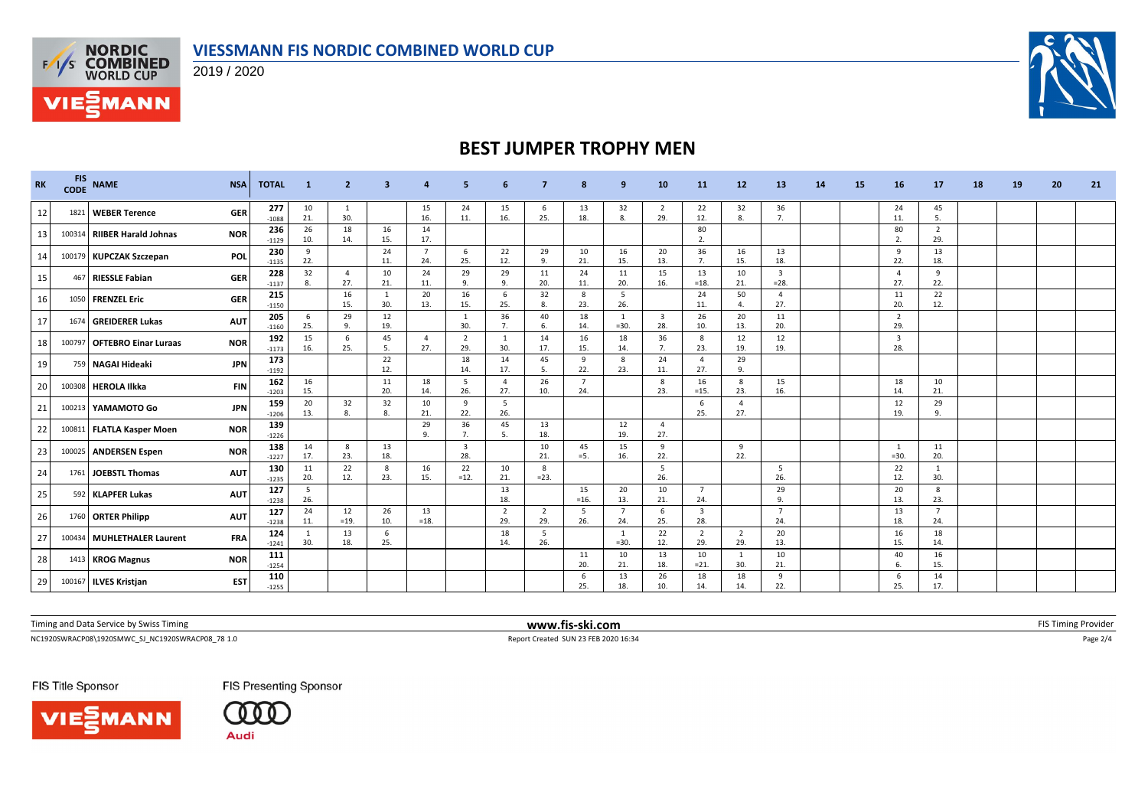### **VIESSMANN FIS NORDIC COMBINED WORLD CUP**



**VIE***MANN* 

## **BEST JUMPER TROPHY MEN**

| <b>RK</b> | <b>FIS</b><br><b>CODE</b> | <b>NAME</b>                 | <b>NSA</b> | <b>TOTAL</b>   | -1                  |                       | з          |                       |                                |                       |                       | 8                     | 9                        | 10                             | <b>11</b>                      | 12                    | 13                       | <b>14</b> | 15 | 16                             | 17                    | 18 | 19 | 20 | 21 |
|-----------|---------------------------|-----------------------------|------------|----------------|---------------------|-----------------------|------------|-----------------------|--------------------------------|-----------------------|-----------------------|-----------------------|--------------------------|--------------------------------|--------------------------------|-----------------------|--------------------------|-----------|----|--------------------------------|-----------------------|----|----|----|----|
| 12        |                           | 1821 WEBER Terence          | <b>GER</b> | 277<br>$-1088$ | 10<br>21.           | 1<br>30.              |            | 15<br>16.             | 24<br>11.                      | 15<br>16.             | -6<br>25.             | 13<br>18.             | 32<br>8.                 | $\overline{2}$<br>29.          | 22<br>12.                      | 32<br>8.              | 36<br>7.                 |           |    | 24<br>11.                      | 45<br>5.              |    |    |    |    |
| 13        |                           | 100314 RIIBER Harald Johnas | <b>NOR</b> | 236<br>$-1129$ | 26<br>10.           | 18<br>14.             | 16<br>15.  | 14<br>17.             |                                |                       |                       |                       |                          |                                | 80<br>2.                       |                       |                          |           |    | 80<br>2.                       | $\overline{2}$<br>29. |    |    |    |    |
| 14        |                           | 100179 KUPCZAK Szczepan     | POL        | 230<br>$-1135$ | 9<br>22.            |                       | 24<br>11.  | $\overline{7}$<br>24. | 6<br>25.                       | 22<br>12.             | 29<br>9.              | 10<br>21.             | 16<br>15.                | 20<br>13.                      | 36<br>7.                       | 16<br>15.             | 13<br>18.                |           |    | 9<br>22.                       | 13<br>18.             |    |    |    |    |
| 15        |                           | 467 RIESSLE Fabian          | <b>GER</b> | 228<br>$-1137$ | 32<br>8.            | $\overline{4}$<br>27. | 10<br>21.  | 24<br>11.             | 29<br>9.                       | 29<br>9.              | 11<br>20.             | 24<br>11.             | 11<br>20.                | 15<br>16.                      | 13<br>$=18.$                   | 10<br>21.             | $\overline{3}$<br>$=28.$ |           |    | $\overline{4}$<br>27.          | 9<br>22.              |    |    |    |    |
| 16        |                           | 1050 FRENZEL Eric           | <b>GER</b> | 215<br>$-1150$ |                     | 16<br>15.             | 1<br>30.   | 20<br>13.             | 16<br>15.                      | 6<br>25.              | 32<br>8.              | 8<br>23.              | - 5<br>26.               |                                | 24<br>11.                      | 50                    | $\overline{4}$<br>27.    |           |    | 11<br>20.                      | 22<br>12.             |    |    |    |    |
| 17        |                           | 1674 GREIDERER Lukas        | <b>AUT</b> | 205<br>$-1160$ | 6<br>25.            | 29<br>9.              | 12<br>19.  |                       | - 1<br>30.                     | 36<br>7.              | 40<br>6.              | 18<br>14.             | $\overline{1}$<br>$=30.$ | $\overline{\mathbf{3}}$<br>28. | 26<br>10.                      | 20<br>13.             | 11<br>20.                |           |    | $\overline{2}$<br>29.          |                       |    |    |    |    |
| 18        |                           | 100797 OFTEBRO Einar Luraas | <b>NOR</b> | 192<br>$-1173$ | 15<br>16.           | 6<br>25.              | 45<br>- 5. | $\overline{4}$<br>27. | $\overline{2}$<br>29.          | $\overline{1}$<br>30. | 14<br>17.             | 16<br>15.             | 18<br>14.                | 36<br>7.                       | 8<br>23.                       | 12<br>19.             | 12<br>19.                |           |    | $\overline{\mathbf{3}}$<br>28. |                       |    |    |    |    |
| 19        |                           | 759 NAGAI Hideaki           | <b>JPN</b> | 173<br>$-1192$ |                     |                       | 22<br>12.  |                       | 18<br>14.                      | 14<br>17.             | 45<br>5.              | 9<br>22.              | 8<br>23.                 | 24<br>11.                      | $\overline{4}$<br>27.          | 29<br>9.              |                          |           |    |                                |                       |    |    |    |    |
| 20        |                           | 100308 HEROLA Ilkka         | <b>FIN</b> | 162<br>$-1203$ | 16<br>15.           |                       | 11<br>20.  | 18<br>14.             | 5<br>26.                       | $\overline{4}$<br>27. | 26<br>10.             | $\overline{7}$<br>24. |                          | 8<br>23.                       | 16<br>$=15.$                   | 8<br>23.              | 15<br>16.                |           |    | 18<br>14.                      | 10<br>21.             |    |    |    |    |
| 21        |                           | 100213 YAMAMOTO Go          | <b>JPN</b> | 159<br>$-1206$ | 20<br>13.           | 32<br>8               | 32<br>8.   | 10<br>21.             | 9<br>22.                       | - 5<br>26.            |                       |                       |                          |                                | 6<br>25.                       | $\overline{a}$<br>27. |                          |           |    | 12<br>19.                      | 29<br>9.              |    |    |    |    |
| 22        |                           | 100811 FLATLA Kasper Moen   | <b>NOR</b> | 139<br>$-1226$ |                     |                       |            | 29<br>9.              | 36<br>7.                       | 45<br>5.              | 13<br>18.             |                       | 12<br>19.                | $\overline{4}$<br>27.          |                                |                       |                          |           |    |                                |                       |    |    |    |    |
| 23        |                           | 100025 ANDERSEN Espen       | <b>NOR</b> | 138<br>$-1227$ | 14<br>17.           | 8<br>23.              | 13<br>18.  |                       | $\overline{\mathbf{3}}$<br>28. |                       | 10<br>21.             | 45<br>$=5.$           | 15<br>16.                | 9<br>22.                       |                                | 9<br>22.              |                          |           |    | $\overline{1}$<br>$=30.$       | 11<br>20.             |    |    |    |    |
| 24        | 1761                      | <b>JOEBSTL Thomas</b>       | <b>AUT</b> | 130<br>$-1235$ | 11<br>20.           | 22<br>12.             | - 8<br>23. | 16<br>15.             | 22<br>$=12.$                   | 10<br>21.             | 8<br>$=23.$           |                       |                          | 5<br>26.                       |                                |                       | - 5<br>26.               |           |    | 22<br>12.                      | $\overline{1}$<br>30. |    |    |    |    |
| 25        |                           | 592 KLAPFER Lukas           | <b>AUT</b> | 127<br>$-1238$ | -5<br>26.           |                       |            |                       |                                | 13<br>18.             |                       | 15<br>$=16.$          | 20<br>13.                | 10<br>21.                      | $\overline{7}$<br>24.          |                       | 29<br>$\mathbf{q}$       |           |    | 20<br>13.                      | 8<br>23.              |    |    |    |    |
| 26        |                           | 1760 ORTER Philipp          | <b>AUT</b> | 127<br>$-1238$ | 24<br>11.           | 12<br>$=19.$          | 26<br>10.  | 13<br>$=18.$          |                                | $\overline{2}$<br>29. | $\overline{2}$<br>29. | 5<br>26.              | $\overline{7}$<br>24.    | - 6<br>25.                     | $\overline{\mathbf{3}}$<br>28. |                       | $\overline{7}$<br>24.    |           |    | 13<br>18.                      | $\overline{7}$<br>24. |    |    |    |    |
| 27        |                           | 100434 MUHLETHALER Laurent  | <b>FRA</b> | 124<br>$-1241$ | $\mathbf{1}$<br>30. | 13<br>18.             | 6<br>25.   |                       |                                | 18<br>14.             | 5<br>26.              |                       | $\overline{1}$<br>$=30.$ | 22<br>12.                      | $\overline{2}$<br>29.          | $\overline{2}$<br>29. | 20<br>13.                |           |    | 16<br>15.                      | 18<br>14.             |    |    |    |    |
| 28        |                           | 1413 KROG Magnus            | <b>NOR</b> | 111<br>$-1254$ |                     |                       |            |                       |                                |                       |                       | 11<br>20.             | 10<br>21.                | 13<br>18.                      | 10<br>$= 21.$                  | $\overline{1}$<br>30. | 10<br>21.                |           |    | 40                             | 16<br>15.             |    |    |    |    |
| 29        |                           | 100167 ILVES Kristjan       | <b>EST</b> | 110<br>$-1255$ |                     |                       |            |                       |                                |                       |                       | 6<br>25.              | 13<br>18.                | 26<br>10.                      | 18<br>14.                      | 18<br>14.             | -9<br>22.                |           |    | -6<br>25.                      | 14<br>17.             |    |    |    |    |

Timing and Data Service by Swiss Timing **EXTIMING 2008 WWW.fis-ski.com WWW.fis-ski.com** FIS Timing Provider

NC1920SWRACP08\1920SMWC\_SJ\_NC1920SWRACP08\_78 1.0 Report Created SUN 23 FEB 2020 16:34 Page 2/4

FIS Title Sponsor





**FIS Presenting Sponsor**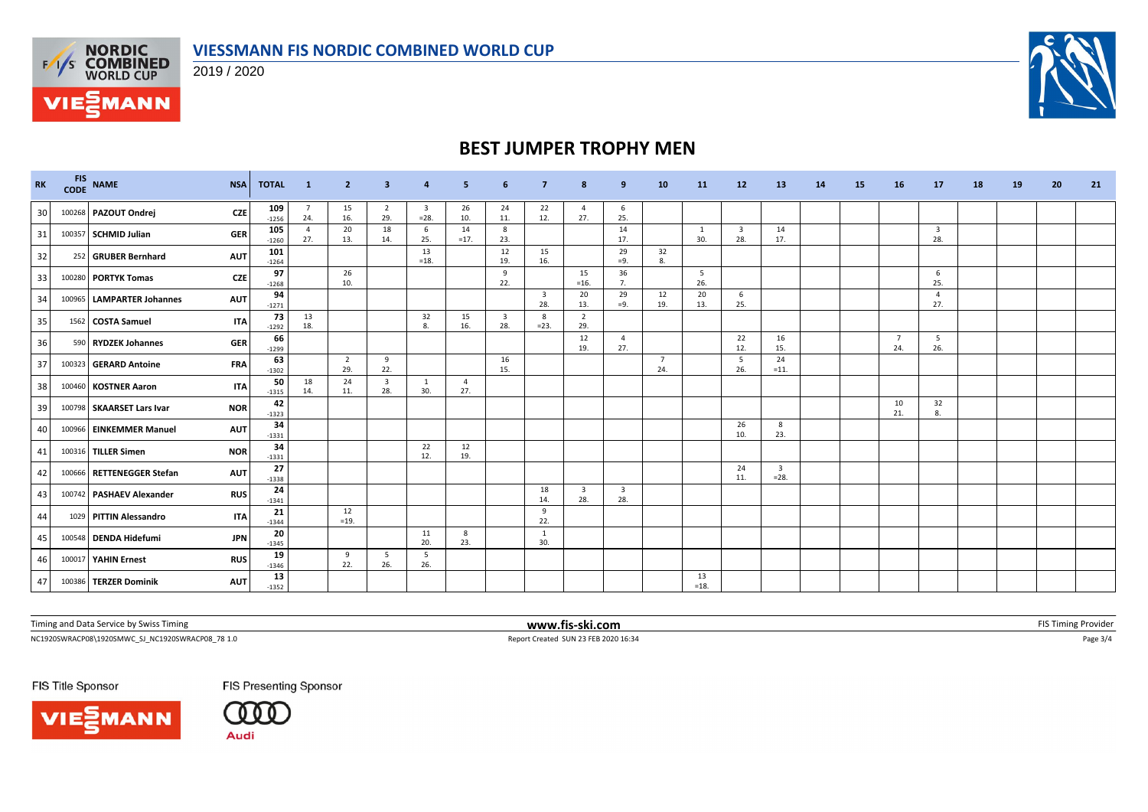



**FAS NORDIC<br>EXAS COMBINED**<br>WORLD CUP

**VIE***MANN* 

# **BEST JUMPER TROPHY MEN**

| RK | FIS NAME                  | <b>NSA</b> | <b>TOTAL</b>   | $\blacksquare$ 1      | $\overline{2}$        | 3                              | 4                                 | 5            | 6                              | 7            | 8                              | -9                             | 10                    | 11                    | 12                             | 13                                | 14 | <b>15</b> | 16         | 17                             | 18 | 19 | 20 | 21 |
|----|---------------------------|------------|----------------|-----------------------|-----------------------|--------------------------------|-----------------------------------|--------------|--------------------------------|--------------|--------------------------------|--------------------------------|-----------------------|-----------------------|--------------------------------|-----------------------------------|----|-----------|------------|--------------------------------|----|----|----|----|
| 30 | 100268 PAZOUT Ondrej      | <b>CZE</b> | 109<br>$-1256$ | - 7<br>24.            | 15<br>16.             | $\overline{2}$<br>29.          | $\overline{\mathbf{3}}$<br>$=28.$ | 26<br>10.    | 24<br>11.                      | 22<br>12.    | $\overline{4}$<br>27.          | 6<br>25.                       |                       |                       |                                |                                   |    |           |            |                                |    |    |    |    |
| 31 | 100357 SCHMID Julian      | <b>GER</b> | 105<br>$-1260$ | $\overline{a}$<br>27. | 20<br>13.             | 18<br>14.                      | 6<br>25.                          | 14<br>$=17.$ | 8<br>23.                       |              |                                | 14<br>17.                      |                       | 1<br>30.              | $\overline{\mathbf{3}}$<br>28. | 14<br>17.                         |    |           |            | $\overline{\mathbf{3}}$<br>28. |    |    |    |    |
| 32 | 252 GRUBER Bernhard       | <b>AUT</b> | 101<br>$-1264$ |                       |                       |                                | 13<br>$=18.$                      |              | 12<br>19.                      | 15<br>16.    |                                | 29<br>$=9.$                    | 32<br>8.              |                       |                                |                                   |    |           |            |                                |    |    |    |    |
| 33 | 100280 PORTYK Tomas       | <b>CZE</b> | 97<br>$-1268$  |                       | 26<br>10.             |                                |                                   |              | 9<br>22.                       |              | 15<br>$=16.$                   | 36<br>$\overline{7}$           |                       | 5 <sup>5</sup><br>26. |                                |                                   |    |           |            | 6<br>25.                       |    |    |    |    |
| 34 | 100965 LAMPARTER Johannes | <b>AUT</b> | 94<br>$-1271$  |                       |                       |                                |                                   |              |                                | 3<br>28.     | 20<br>13.                      | 29<br>$=9.$                    | 12<br>19.             | 20<br>13.             | 6<br>25.                       |                                   |    |           |            | $\overline{4}$<br>27.          |    |    |    |    |
| 35 | 1562 COSTA Samuel         | <b>ITA</b> | 73<br>$-1292$  | 13<br>18.             |                       |                                | 32<br>8.                          | 15<br>16.    | $\overline{\mathbf{3}}$<br>28. | 8<br>$= 23.$ | $\overline{2}$<br>29.          |                                |                       |                       |                                |                                   |    |           |            |                                |    |    |    |    |
| 36 | 590 RYDZEK Johannes       | <b>GER</b> | 66<br>$-1299$  |                       |                       |                                |                                   |              |                                |              | 12<br>19.                      | $\overline{4}$<br>27.          |                       |                       | 22<br>12.                      | 16<br>15.                         |    |           | - 7<br>24. | 5<br>26.                       |    |    |    |    |
| 37 | 100323 GERARD Antoine     | <b>FRA</b> | 63<br>$-1302$  |                       | $\overline{2}$<br>29. | 9<br>22.                       |                                   |              | 16<br>15.                      |              |                                |                                | $\overline{7}$<br>24. |                       | - 5<br>26.                     | 24<br>$=11.$                      |    |           |            |                                |    |    |    |    |
| 38 | 100460 KOSTNER Aaron      | <b>ITA</b> | 50<br>$-1315$  | 18<br>14.             | 24<br>11.             | $\overline{\mathbf{3}}$<br>28. | $\mathbf{1}$<br>30.               | 4<br>27.     |                                |              |                                |                                |                       |                       |                                |                                   |    |           |            |                                |    |    |    |    |
| 39 | 100798 SKAARSET Lars Ivar | <b>NOR</b> | 42<br>$-1323$  |                       |                       |                                |                                   |              |                                |              |                                |                                |                       |                       |                                |                                   |    |           | 10<br>21.  | 32<br>8.                       |    |    |    |    |
| 40 | 100966 EINKEMMER Manuel   | <b>AUT</b> | 34<br>$-1331$  |                       |                       |                                |                                   |              |                                |              |                                |                                |                       |                       | 26<br>10.                      | 8<br>23.                          |    |           |            |                                |    |    |    |    |
| 41 | 100316 TILLER Simen       | <b>NOR</b> | 34<br>$-1331$  |                       |                       |                                | 22<br>12.                         | 12<br>19.    |                                |              |                                |                                |                       |                       |                                |                                   |    |           |            |                                |    |    |    |    |
| 42 | 100666 RETTENEGGER Stefan | <b>AUT</b> | 27<br>$-1338$  |                       |                       |                                |                                   |              |                                |              |                                |                                |                       |                       | 24<br>11.                      | $\overline{\mathbf{3}}$<br>$=28.$ |    |           |            |                                |    |    |    |    |
| 43 | 100742 PASHAEV Alexander  | <b>RUS</b> | 24<br>$-1341$  |                       |                       |                                |                                   |              |                                | 18<br>14.    | $\overline{\mathbf{3}}$<br>28. | $\overline{\mathbf{3}}$<br>28. |                       |                       |                                |                                   |    |           |            |                                |    |    |    |    |
| 44 | 1029 PITTIN Alessandro    | <b>ITA</b> | 21<br>$-1344$  |                       | 12<br>$=19.$          |                                |                                   |              |                                | 9<br>22.     |                                |                                |                       |                       |                                |                                   |    |           |            |                                |    |    |    |    |
| 45 | 100548 DENDA Hidefumi     | <b>JPN</b> | 20<br>$-1345$  |                       |                       |                                | 11<br>20.                         | 8<br>23.     |                                | 1<br>30.     |                                |                                |                       |                       |                                |                                   |    |           |            |                                |    |    |    |    |
| 46 | 100017 YAHIN Ernest       | <b>RUS</b> | 19<br>$-1346$  |                       | 9<br>22.              | 5<br>26.                       | 5 <sup>5</sup><br>26.             |              |                                |              |                                |                                |                       |                       |                                |                                   |    |           |            |                                |    |    |    |    |
| 47 | 100386 TERZER Dominik     | <b>AUT</b> | 13<br>$-1352$  |                       |                       |                                |                                   |              |                                |              |                                |                                |                       | 13<br>$=18.$          |                                |                                   |    |           |            |                                |    |    |    |    |

Timing and Data Service by Swiss Timing **EXTIMING 2008 WWW.fis-ski.com WWW.fis-ski.com** FIS Timing Provider

**FIS Presenting Sponsor** 

NC1920SWRACP08\1920SMWC\_SJ\_NC1920SWRACP08\_78 1.0 Report Created SUN 23 FEB 2020 16:34 Page 3/4

FIS Title Sponsor